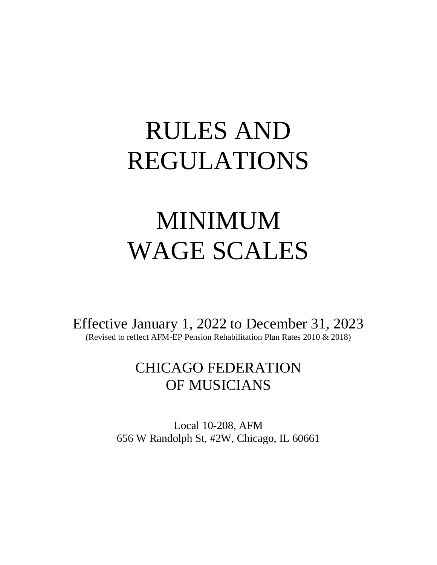# RULES AND REGULATIONS

# MINIMUM WAGE SCALES

Effective January 1, 2022 to December 31, 2023 (Revised to reflect AFM-EP Pension Rehabilitation Plan Rates 2010 & 2018)

# CHICAGO FEDERATION OF MUSICIANS

Local 10-208, AFM 656 W Randolph St, #2W, Chicago, IL 60661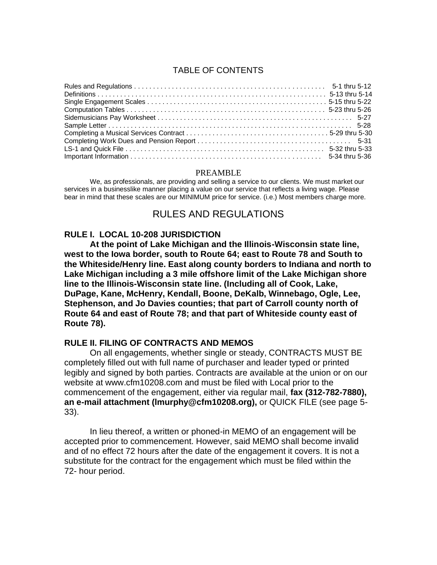#### TABLE OF CONTENTS

#### PREAMBLE

We, as professionals, are providing and selling a service to our clients. We must market our services in a businesslike manner placing a value on our service that reflects a living wage. Please bear in mind that these scales are our MINIMUM price for service. (i.e.) Most members charge more.

#### RULES AND REGULATIONS

#### **RULE I. LOCAL 10-208 JURISDICTION**

**At the point of Lake Michigan and the Illinois-Wisconsin state line, west to the Iowa border, south to Route 64; east to Route 78 and South to the Whiteside/Henry line. East along county borders to Indiana and north to Lake Michigan including a 3 mile offshore limit of the Lake Michigan shore line to the Illinois-Wisconsin state line. (Including all of Cook, Lake, DuPage, Kane, McHenry, Kendall, Boone, DeKalb, Winnebago, Ogle, Lee, Stephenson, and Jo Davies counties; that part of Carroll county north of Route 64 and east of Route 78; and that part of Whiteside county east of Route 78).**

#### **RULE II. FILING OF CONTRACTS AND MEMOS**

On all engagements, whether single or steady, CONTRACTS MUST BE completely filled out with full name of purchaser and leader typed or printed legibly and signed by both parties. Contracts are available at the union or on our website at www.cfm10208.com and must be filed with Local prior to the commencement of the engagement, either via regular mail, **fax (312-782-7880), an e-mail attachment (lmurphy@cfm10208.org),** or QUICK FILE (see page 5- 33).

In lieu thereof, a written or phoned-in MEMO of an engagement will be accepted prior to commencement. However, said MEMO shall become invalid and of no effect 72 hours after the date of the engagement it covers. It is not a substitute for the contract for the engagement which must be filed within the 72- hour period.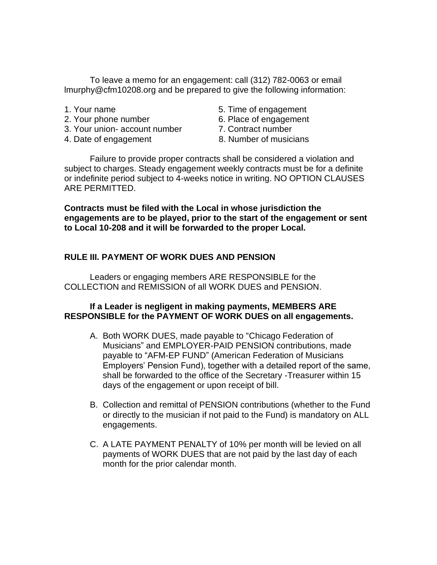To leave a memo for an engagement: call (312) 782-0063 or email lmurphy@cfm10208.org and be prepared to give the following information:

- 
- 
- 3. Your union- account number 7. Contract number
- 
- 1. Your name 5. Time of engagement
- 2. Your phone number 6. Place of engagement
	-
- 4. Date of engagement 8. Number of musicians

Failure to provide proper contracts shall be considered a violation and subject to charges. Steady engagement weekly contracts must be for a definite or indefinite period subject to 4-weeks notice in writing. NO OPTION CLAUSES ARE PERMITTED.

**Contracts must be filed with the Local in whose jurisdiction the engagements are to be played, prior to the start of the engagement or sent to Local 10-208 and it will be forwarded to the proper Local.**

# **RULE III. PAYMENT OF WORK DUES AND PENSION**

Leaders or engaging members ARE RESPONSIBLE for the COLLECTION and REMISSION of all WORK DUES and PENSION.

#### **If a Leader is negligent in making payments, MEMBERS ARE RESPONSIBLE for the PAYMENT OF WORK DUES on all engagements.**

- A. Both WORK DUES, made payable to "Chicago Federation of Musicians" and EMPLOYER-PAID PENSION contributions, made payable to "AFM-EP FUND" (American Federation of Musicians Employers' Pension Fund), together with a detailed report of the same, shall be forwarded to the office of the Secretary -Treasurer within 15 days of the engagement or upon receipt of bill.
- B. Collection and remittal of PENSION contributions (whether to the Fund or directly to the musician if not paid to the Fund) is mandatory on ALL engagements.
- C. A LATE PAYMENT PENALTY of 10% per month will be levied on all payments of WORK DUES that are not paid by the last day of each month for the prior calendar month.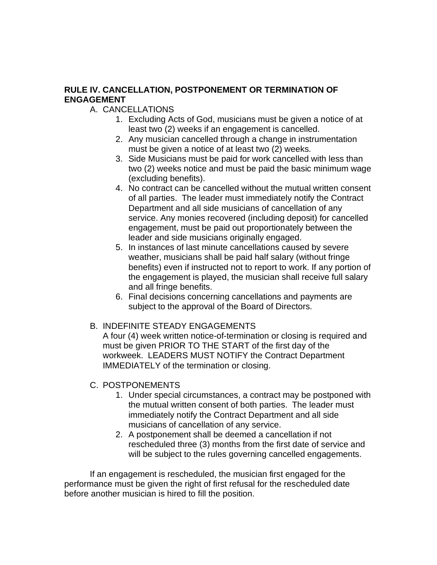# **RULE IV. CANCELLATION, POSTPONEMENT OR TERMINATION OF ENGAGEMENT**

- A. CANCELLATIONS
	- 1. Excluding Acts of God, musicians must be given a notice of at least two (2) weeks if an engagement is cancelled.
	- 2. Any musician cancelled through a change in instrumentation must be given a notice of at least two (2) weeks.
	- 3. Side Musicians must be paid for work cancelled with less than two (2) weeks notice and must be paid the basic minimum wage (excluding benefits).
	- 4. No contract can be cancelled without the mutual written consent of all parties. The leader must immediately notify the Contract Department and all side musicians of cancellation of any service. Any monies recovered (including deposit) for cancelled engagement, must be paid out proportionately between the leader and side musicians originally engaged.
	- 5. In instances of last minute cancellations caused by severe weather, musicians shall be paid half salary (without fringe benefits) even if instructed not to report to work. If any portion of the engagement is played, the musician shall receive full salary and all fringe benefits.
	- 6. Final decisions concerning cancellations and payments are subject to the approval of the Board of Directors.

#### B. INDEFINITE STEADY ENGAGEMENTS

A four (4) week written notice-of-termination or closing is required and must be given PRIOR TO THE START of the first day of the workweek. LEADERS MUST NOTIFY the Contract Department IMMEDIATELY of the termination or closing.

#### C. POSTPONEMENTS

- 1. Under special circumstances, a contract may be postponed with the mutual written consent of both parties. The leader must immediately notify the Contract Department and all side musicians of cancellation of any service.
- 2. A postponement shall be deemed a cancellation if not rescheduled three (3) months from the first date of service and will be subject to the rules governing cancelled engagements.

If an engagement is rescheduled, the musician first engaged for the performance must be given the right of first refusal for the rescheduled date before another musician is hired to fill the position.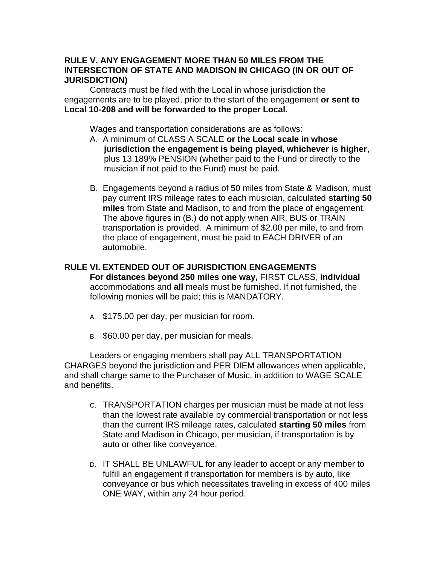#### **RULE V. ANY ENGAGEMENT MORE THAN 50 MILES FROM THE INTERSECTION OF STATE AND MADISON IN CHICAGO (IN OR OUT OF JURISDICTION)**

Contracts must be filed with the Local in whose jurisdiction the engagements are to be played, prior to the start of the engagement **or sent to Local 10-208 and will be forwarded to the proper Local.**

Wages and transportation considerations are as follows:

- A. A minimum of CLASS A SCALE **or the Local scale in whose jurisdiction the engagement is being played, whichever is higher**, plus 13.189% PENSION (whether paid to the Fund or directly to the musician if not paid to the Fund) must be paid.
- B. Engagements beyond a radius of 50 miles from State & Madison, must pay current IRS mileage rates to each musician, calculated **starting 50 miles** from State and Madison, to and from the place of engagement. The above figures in (B.) do not apply when AIR, BUS or TRAIN transportation is provided. A minimum of \$2.00 per mile, to and from the place of engagement, must be paid to EACH DRIVER of an automobile.

# **RULE VI. EXTENDED OUT OF JURISDICTION ENGAGEMENTS**

**For distances beyond 250 miles one way,** FIRST CLASS, **individual**  accommodations and **all** meals must be furnished. If not furnished, the following monies will be paid; this is MANDATORY.

- A. \$175.00 per day, per musician for room.
- B. \$60.00 per day, per musician for meals.

Leaders or engaging members shall pay ALL TRANSPORTATION CHARGES beyond the jurisdiction and PER DIEM allowances when applicable, and shall charge same to the Purchaser of Music, in addition to WAGE SCALE and benefits.

- C. TRANSPORTATION charges per musician must be made at not less than the lowest rate available by commercial transportation or not less than the current IRS mileage rates, calculated **starting 50 miles** from State and Madison in Chicago, per musician, if transportation is by auto or other like conveyance.
- D. IT SHALL BE UNLAWFUL for any leader to accept or any member to fulfill an engagement if transportation for members is by auto, like conveyance or bus which necessitates traveling in excess of 400 miles ONE WAY, within any 24 hour period.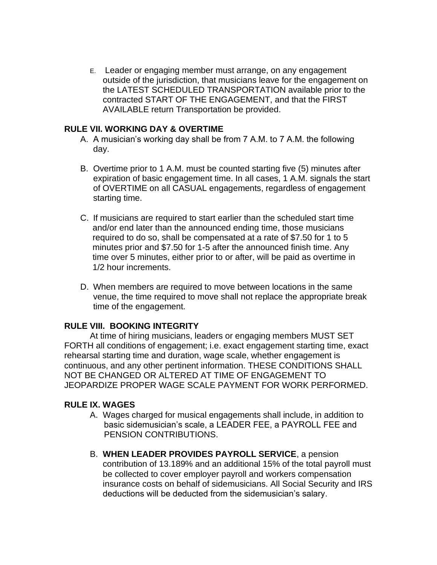E. Leader or engaging member must arrange, on any engagement outside of the jurisdiction, that musicians leave for the engagement on the LATEST SCHEDULED TRANSPORTATION available prior to the contracted START OF THE ENGAGEMENT, and that the FIRST AVAILABLE return Transportation be provided.

#### **RULE VII. WORKING DAY & OVERTIME**

- A. A musician's working day shall be from 7 A.M. to 7 A.M. the following day.
- B. Overtime prior to 1 A.M. must be counted starting five (5) minutes after expiration of basic engagement time. In all cases, 1 A.M. signals the start of OVERTIME on all CASUAL engagements, regardless of engagement starting time.
- C. If musicians are required to start earlier than the scheduled start time and/or end later than the announced ending time, those musicians required to do so, shall be compensated at a rate of \$7.50 for 1 to 5 minutes prior and \$7.50 for 1-5 after the announced finish time. Any time over 5 minutes, either prior to or after, will be paid as overtime in 1/2 hour increments.
- D. When members are required to move between locations in the same venue, the time required to move shall not replace the appropriate break time of the engagement.

# **RULE VIII. BOOKING INTEGRITY**

At time of hiring musicians, leaders or engaging members MUST SET FORTH all conditions of engagement; i.e. exact engagement starting time, exact rehearsal starting time and duration, wage scale, whether engagement is continuous, and any other pertinent information. THESE CONDITIONS SHALL NOT BE CHANGED OR ALTERED AT TIME OF ENGAGEMENT TO JEOPARDIZE PROPER WAGE SCALE PAYMENT FOR WORK PERFORMED.

#### **RULE IX. WAGES**

- A. Wages charged for musical engagements shall include, in addition to basic sidemusician's scale, a LEADER FEE, a PAYROLL FEE and PENSION CONTRIBUTIONS.
- B. **WHEN LEADER PROVIDES PAYROLL SERVICE**, a pension contribution of 13.189% and an additional 15% of the total payroll must be collected to cover employer payroll and workers compensation insurance costs on behalf of sidemusicians. All Social Security and IRS deductions will be deducted from the sidemusician's salary.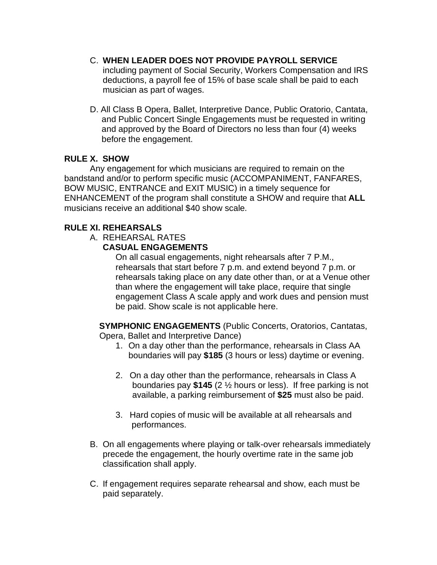# C. **WHEN LEADER DOES NOT PROVIDE PAYROLL SERVICE**

including payment of Social Security, Workers Compensation and IRS deductions, a payroll fee of 15% of base scale shall be paid to each musician as part of wages.

D. All Class B Opera, Ballet, Interpretive Dance, Public Oratorio, Cantata, and Public Concert Single Engagements must be requested in writing and approved by the Board of Directors no less than four (4) weeks before the engagement.

# **RULE X. SHOW**

Any engagement for which musicians are required to remain on the bandstand and/or to perform specific music (ACCOMPANIMENT, FANFARES, BOW MUSIC, ENTRANCE and EXIT MUSIC) in a timely sequence for ENHANCEMENT of the program shall constitute a SHOW and require that **ALL** musicians receive an additional \$40 show scale.

# **RULE XI. REHEARSALS**

# A. REHEARSAL RATES

# **CASUAL ENGAGEMENTS**

On all casual engagements, night rehearsals after 7 P.M., rehearsals that start before 7 p.m. and extend beyond 7 p.m. or rehearsals taking place on any date other than, or at a Venue other than where the engagement will take place, require that single engagement Class A scale apply and work dues and pension must be paid. Show scale is not applicable here.

 **SYMPHONIC ENGAGEMENTS** (Public Concerts, Oratorios, Cantatas, Opera, Ballet and Interpretive Dance)

- 1. On a day other than the performance, rehearsals in Class AA boundaries will pay **\$185** (3 hours or less) daytime or evening.
- 2. On a day other than the performance, rehearsals in Class A boundaries pay **\$145** (2 ½ hours or less). If free parking is not available, a parking reimbursement of **\$25** must also be paid.
- 3. Hard copies of music will be available at all rehearsals and performances.
- B. On all engagements where playing or talk-over rehearsals immediately precede the engagement, the hourly overtime rate in the same job classification shall apply.
- C. If engagement requires separate rehearsal and show, each must be paid separately.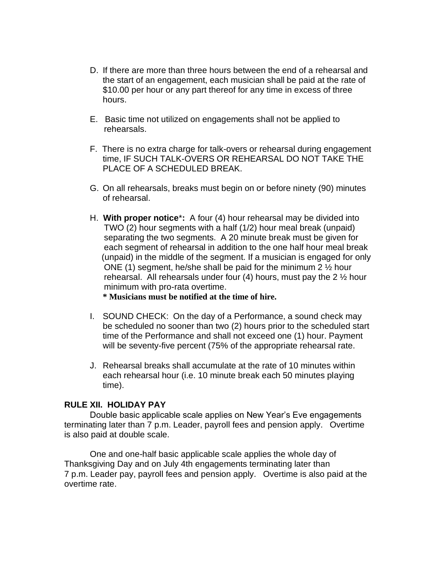- D. If there are more than three hours between the end of a rehearsal and the start of an engagement, each musician shall be paid at the rate of \$10.00 per hour or any part thereof for any time in excess of three hours.
- E. Basic time not utilized on engagements shall not be applied to rehearsals.
- F. There is no extra charge for talk-overs or rehearsal during engagement time, IF SUCH TALK-OVERS OR REHEARSAL DO NOT TAKE THE PLACE OF A SCHEDULED BREAK.
- G. On all rehearsals, breaks must begin on or before ninety (90) minutes of rehearsal.
- H. **With proper notice**\***:** A four (4) hour rehearsal may be divided into TWO (2) hour segments with a half (1/2) hour meal break (unpaid) separating the two segments. A 20 minute break must be given for each segment of rehearsal in addition to the one half hour meal break (unpaid) in the middle of the segment. If a musician is engaged for only ONE (1) segment, he/she shall be paid for the minimum 2 ½ hour rehearsal. All rehearsals under four (4) hours, must pay the 2 ½ hour minimum with pro-rata overtime.

**\* Musicians must be notified at the time of hire.**

- I. SOUND CHECK: On the day of a Performance, a sound check may be scheduled no sooner than two (2) hours prior to the scheduled start time of the Performance and shall not exceed one (1) hour. Payment will be seventy-five percent (75% of the appropriate rehearsal rate.
- J. Rehearsal breaks shall accumulate at the rate of 10 minutes within each rehearsal hour (i.e. 10 minute break each 50 minutes playing time).

#### **RULE XII. HOLIDAY PAY**

Double basic applicable scale applies on New Year's Eve engagements terminating later than 7 p.m. Leader, payroll fees and pension apply. Overtime is also paid at double scale.

One and one-half basic applicable scale applies the whole day of Thanksgiving Day and on July 4th engagements terminating later than 7 p.m. Leader pay, payroll fees and pension apply. Overtime is also paid at the overtime rate.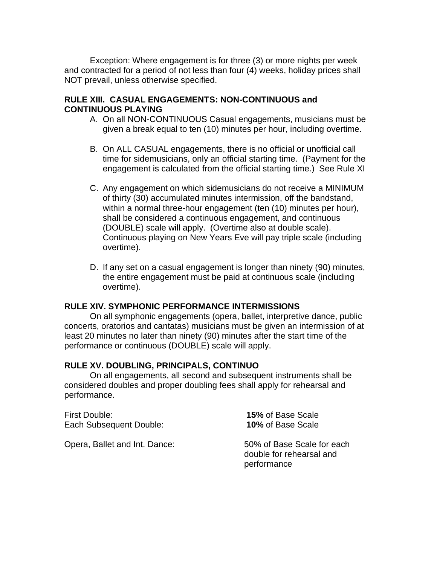Exception: Where engagement is for three (3) or more nights per week and contracted for a period of not less than four (4) weeks, holiday prices shall NOT prevail, unless otherwise specified.

#### **RULE XIII. CASUAL ENGAGEMENTS: NON-CONTINUOUS and CONTINUOUS PLAYING**

- A. On all NON-CONTINUOUS Casual engagements, musicians must be given a break equal to ten (10) minutes per hour, including overtime.
- B. On ALL CASUAL engagements, there is no official or unofficial call time for sidemusicians, only an official starting time. (Payment for the engagement is calculated from the official starting time.) See Rule XI
- C. Any engagement on which sidemusicians do not receive a MINIMUM of thirty (30) accumulated minutes intermission, off the bandstand, within a normal three-hour engagement (ten (10) minutes per hour), shall be considered a continuous engagement, and continuous (DOUBLE) scale will apply. (Overtime also at double scale). Continuous playing on New Years Eve will pay triple scale (including overtime).
- D. If any set on a casual engagement is longer than ninety (90) minutes, the entire engagement must be paid at continuous scale (including overtime).

#### **RULE XIV. SYMPHONIC PERFORMANCE INTERMISSIONS**

On all symphonic engagements (opera, ballet, interpretive dance, public concerts, oratorios and cantatas) musicians must be given an intermission of at least 20 minutes no later than ninety (90) minutes after the start time of the performance or continuous (DOUBLE) scale will apply.

#### **RULE XV. DOUBLING, PRINCIPALS, CONTINUO**

On all engagements, all second and subsequent instruments shall be considered doubles and proper doubling fees shall apply for rehearsal and performance.

| First Double:           | <b>15% of Base Scale</b> |
|-------------------------|--------------------------|
| Each Subsequent Double: | <b>10% of Base Scale</b> |
|                         |                          |

Opera, Ballet and Int. Dance: 50% of Base Scale for each double for rehearsal and performance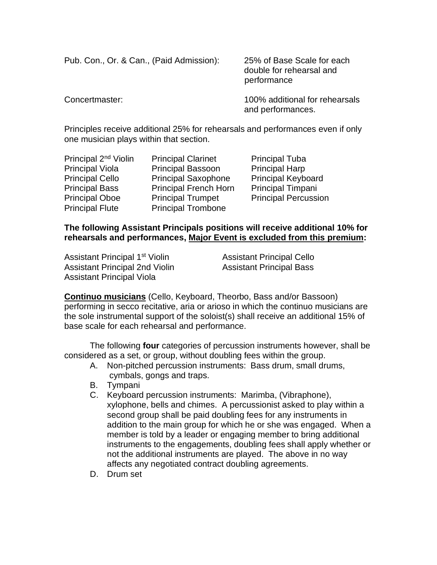Pub. Con., Or. & Can., (Paid Admission): 25% of Base Scale for each double for rehearsal and performance Concertmaster: 100% additional for rehearsals

and performances.

Principles receive additional 25% for rehearsals and performances even if only one musician plays within that section.

| <b>Principal Clarinet</b>    | <b>Principal Tuba</b>       |
|------------------------------|-----------------------------|
| <b>Principal Bassoon</b>     | <b>Principal Harp</b>       |
| <b>Principal Saxophone</b>   | <b>Principal Keyboard</b>   |
| <b>Principal French Horn</b> | Principal Timpani           |
| <b>Principal Trumpet</b>     | <b>Principal Percussion</b> |
| <b>Principal Trombone</b>    |                             |
|                              |                             |

#### **The following Assistant Principals positions will receive additional 10% for rehearsals and performances, Major Event is excluded from this premium:**

Assistant Principal 1<sup>st</sup> Violin Assistant Principal Cello Assistant Principal 2nd Violin **Assistant Principal Bass** Assistant Principal Viola

**Continuo musicians** (Cello, Keyboard, Theorbo, Bass and/or Bassoon) performing in secco recitative, aria or arioso in which the continuo musicians are the sole instrumental support of the soloist(s) shall receive an additional 15% of base scale for each rehearsal and performance.

The following **four** categories of percussion instruments however, shall be considered as a set, or group, without doubling fees within the group.

- A. Non-pitched percussion instruments: Bass drum, small drums, cymbals, gongs and traps.
- B. Tympani
- C. Keyboard percussion instruments: Marimba, (Vibraphone), xylophone, bells and chimes. A percussionist asked to play within a second group shall be paid doubling fees for any instruments in addition to the main group for which he or she was engaged. When a member is told by a leader or engaging member to bring additional instruments to the engagements, doubling fees shall apply whether or not the additional instruments are played. The above in no way affects any negotiated contract doubling agreements.
- D. Drum set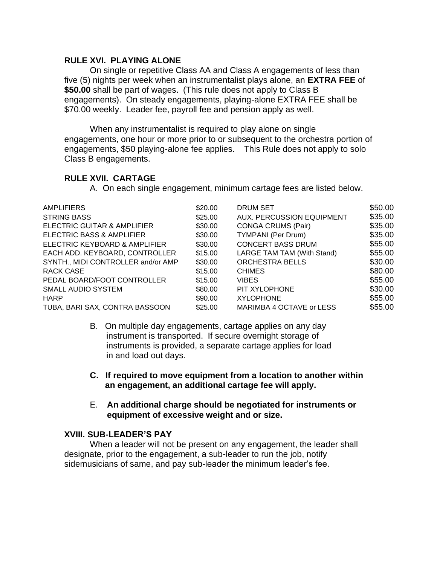#### **RULE XVI. PLAYING ALONE**

On single or repetitive Class AA and Class A engagements of less than five (5) nights per week when an instrumentalist plays alone, an **EXTRA FEE** of **\$50.00** shall be part of wages. (This rule does not apply to Class B engagements). On steady engagements, playing-alone EXTRA FEE shall be \$70.00 weekly. Leader fee, payroll fee and pension apply as well.

When any instrumentalist is required to play alone on single engagements, one hour or more prior to or subsequent to the orchestra portion of engagements, \$50 playing-alone fee applies. This Rule does not apply to solo Class B engagements.

#### **RULE XVII. CARTAGE**

A. On each single engagement, minimum cartage fees are listed below.

| <b>AMPLIFIERS</b>                  | \$20.00 | <b>DRUM SET</b>            | \$50.00 |
|------------------------------------|---------|----------------------------|---------|
| <b>STRING BASS</b>                 | \$25.00 | AUX. PERCUSSION EQUIPMENT  | \$35.00 |
| ELECTRIC GUITAR & AMPLIFIER        | \$30.00 | <b>CONGA CRUMS (Pair)</b>  | \$35.00 |
| ELECTRIC BASS & AMPLIFIER          | \$30.00 | <b>TYMPANI</b> (Per Drum)  | \$35.00 |
| ELECTRIC KEYBOARD & AMPLIFIER      | \$30.00 | <b>CONCERT BASS DRUM</b>   | \$55.00 |
| EACH ADD. KEYBOARD, CONTROLLER     | \$15.00 | LARGE TAM TAM (With Stand) | \$55.00 |
| SYNTH., MIDI CONTROLLER and/or AMP | \$30.00 | <b>ORCHESTRA BELLS</b>     | \$30.00 |
| RACK CASE                          | \$15.00 | <b>CHIMES</b>              | \$80.00 |
| PEDAL BOARD/FOOT CONTROLLER        | \$15.00 | <b>VIBES</b>               | \$55.00 |
| <b>SMALL AUDIO SYSTEM</b>          | \$80.00 | PIT XYLOPHONE              | \$30.00 |
| <b>HARP</b>                        | \$90.00 | <b>XYLOPHONE</b>           | \$55.00 |
| TUBA, BARI SAX, CONTRA BASSOON     | \$25.00 | MARIMBA 4 OCTAVE or LESS   | \$55.00 |

- B. On multiple day engagements, cartage applies on any day instrument is transported. If secure overnight storage of instruments is provided, a separate cartage applies for load in and load out days.
- **C. If required to move equipment from a location to another within an engagement, an additional cartage fee will apply.**
- E. **An additional charge should be negotiated for instruments or equipment of excessive weight and or size.**

#### **XVIII. SUB-LEADER'S PAY**

When a leader will not be present on any engagement, the leader shall designate, prior to the engagement, a sub-leader to run the job, notify sidemusicians of same, and pay sub-leader the minimum leader's fee.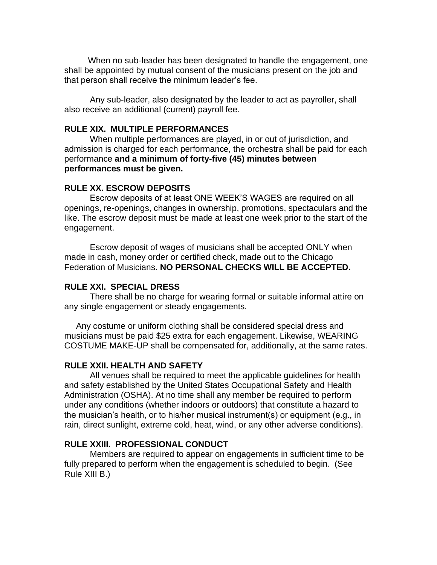When no sub-leader has been designated to handle the engagement, one shall be appointed by mutual consent of the musicians present on the job and that person shall receive the minimum leader's fee.

Any sub-leader, also designated by the leader to act as payroller, shall also receive an additional (current) payroll fee.

#### **RULE XIX. MULTIPLE PERFORMANCES**

When multiple performances are played, in or out of jurisdiction, and admission is charged for each performance, the orchestra shall be paid for each performance **and a minimum of forty-five (45) minutes between performances must be given.**

#### **RULE XX. ESCROW DEPOSITS**

Escrow deposits of at least ONE WEEK'S WAGES are required on all openings, re-openings, changes in ownership, promotions, spectaculars and the like. The escrow deposit must be made at least one week prior to the start of the engagement.

 Escrow deposit of wages of musicians shall be accepted ONLY when made in cash, money order or certified check, made out to the Chicago Federation of Musicians. **NO PERSONAL CHECKS WILL BE ACCEPTED.**

#### **RULE XXI. SPECIAL DRESS**

There shall be no charge for wearing formal or suitable informal attire on any single engagement or steady engagements.

 Any costume or uniform clothing shall be considered special dress and musicians must be paid \$25 extra for each engagement. Likewise, WEARING COSTUME MAKE-UP shall be compensated for, additionally, at the same rates.

#### **RULE XXII. HEALTH AND SAFETY**

All venues shall be required to meet the applicable guidelines for health and safety established by the United States Occupational Safety and Health Administration (OSHA). At no time shall any member be required to perform under any conditions (whether indoors or outdoors) that constitute a hazard to the musician's health, or to his/her musical instrument(s) or equipment (e.g., in rain, direct sunlight, extreme cold, heat, wind, or any other adverse conditions).

#### **RULE XXIII. PROFESSIONAL CONDUCT**

Members are required to appear on engagements in sufficient time to be fully prepared to perform when the engagement is scheduled to begin. (See Rule XIII B.)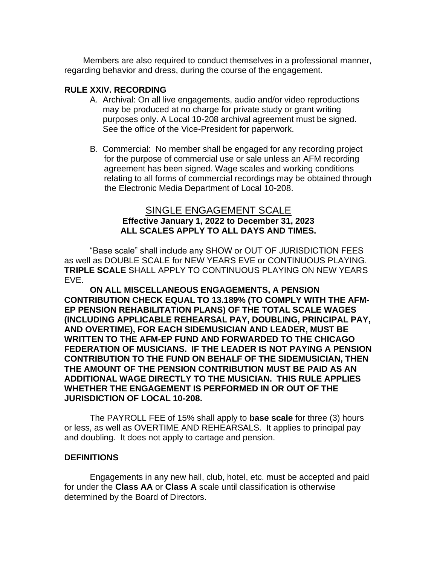Members are also required to conduct themselves in a professional manner, regarding behavior and dress, during the course of the engagement.

#### **RULE XXIV. RECORDING**

- A. Archival: On all live engagements, audio and/or video reproductions may be produced at no charge for private study or grant writing purposes only. A Local 10-208 archival agreement must be signed. See the office of the Vice-President for paperwork.
- B. Commercial: No member shall be engaged for any recording project for the purpose of commercial use or sale unless an AFM recording agreement has been signed. Wage scales and working conditions relating to all forms of commercial recordings may be obtained through the Electronic Media Department of Local 10-208.

# SINGLE ENGAGEMENT SCALE **Effective January 1, 2022 to December 31, 2023 ALL SCALES APPLY TO ALL DAYS AND TIMES.**

"Base scale" shall include any SHOW or OUT OF JURISDICTION FEES as well as DOUBLE SCALE for NEW YEARS EVE or CONTINUOUS PLAYING. **TRIPLE SCALE** SHALL APPLY TO CONTINUOUS PLAYING ON NEW YEARS EVE.

**ON ALL MISCELLANEOUS ENGAGEMENTS, A PENSION CONTRIBUTION CHECK EQUAL TO 13.189% (TO COMPLY WITH THE AFM-EP PENSION REHABILITATION PLANS) OF THE TOTAL SCALE WAGES (INCLUDING APPLICABLE REHEARSAL PAY, DOUBLING, PRINCIPAL PAY, AND OVERTIME), FOR EACH SIDEMUSICIAN AND LEADER, MUST BE WRITTEN TO THE AFM-EP FUND AND FORWARDED TO THE CHICAGO FEDERATION OF MUSICIANS. IF THE LEADER IS NOT PAYING A PENSION CONTRIBUTION TO THE FUND ON BEHALF OF THE SIDEMUSICIAN, THEN THE AMOUNT OF THE PENSION CONTRIBUTION MUST BE PAID AS AN ADDITIONAL WAGE DIRECTLY TO THE MUSICIAN. THIS RULE APPLIES WHETHER THE ENGAGEMENT IS PERFORMED IN OR OUT OF THE JURISDICTION OF LOCAL 10-208.**

The PAYROLL FEE of 15% shall apply to **base scale** for three (3) hours or less, as well as OVERTIME AND REHEARSALS. It applies to principal pay and doubling. It does not apply to cartage and pension.

#### **DEFINITIONS**

Engagements in any new hall, club, hotel, etc. must be accepted and paid for under the **Class AA** or **Class A** scale until classification is otherwise determined by the Board of Directors.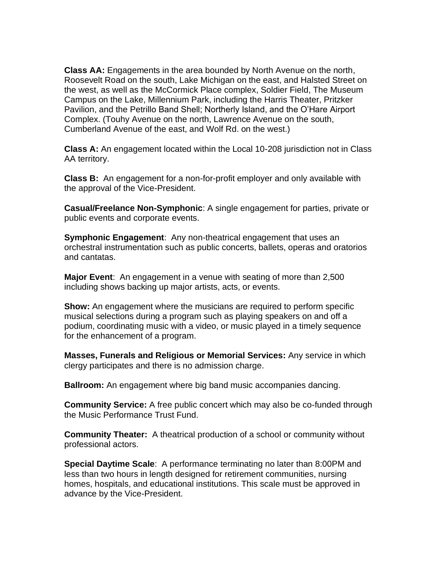**Class AA:** Engagements in the area bounded by North Avenue on the north, Roosevelt Road on the south, Lake Michigan on the east, and Halsted Street on the west, as well as the McCormick Place complex, Soldier Field, The Museum Campus on the Lake, Millennium Park, including the Harris Theater, Pritzker Pavilion, and the Petrillo Band Shell; Northerly Island, and the O'Hare Airport Complex. (Touhy Avenue on the north, Lawrence Avenue on the south, Cumberland Avenue of the east, and Wolf Rd. on the west.)

**Class A:** An engagement located within the Local 10-208 jurisdiction not in Class AA territory.

**Class B:** An engagement for a non-for-profit employer and only available with the approval of the Vice-President.

**Casual/Freelance Non-Symphonic**: A single engagement for parties, private or public events and corporate events.

**Symphonic Engagement**: Any non-theatrical engagement that uses an orchestral instrumentation such as public concerts, ballets, operas and oratorios and cantatas.

**Major Event**: An engagement in a venue with seating of more than 2,500 including shows backing up major artists, acts, or events.

**Show:** An engagement where the musicians are required to perform specific musical selections during a program such as playing speakers on and off a podium, coordinating music with a video, or music played in a timely sequence for the enhancement of a program.

**Masses, Funerals and Religious or Memorial Services:** Any service in which clergy participates and there is no admission charge.

**Ballroom:** An engagement where big band music accompanies dancing.

**Community Service:** A free public concert which may also be co-funded through the Music Performance Trust Fund.

**Community Theater:** A theatrical production of a school or community without professional actors.

**Special Daytime Scale**: A performance terminating no later than 8:00PM and less than two hours in length designed for retirement communities, nursing homes, hospitals, and educational institutions. This scale must be approved in advance by the Vice-President.